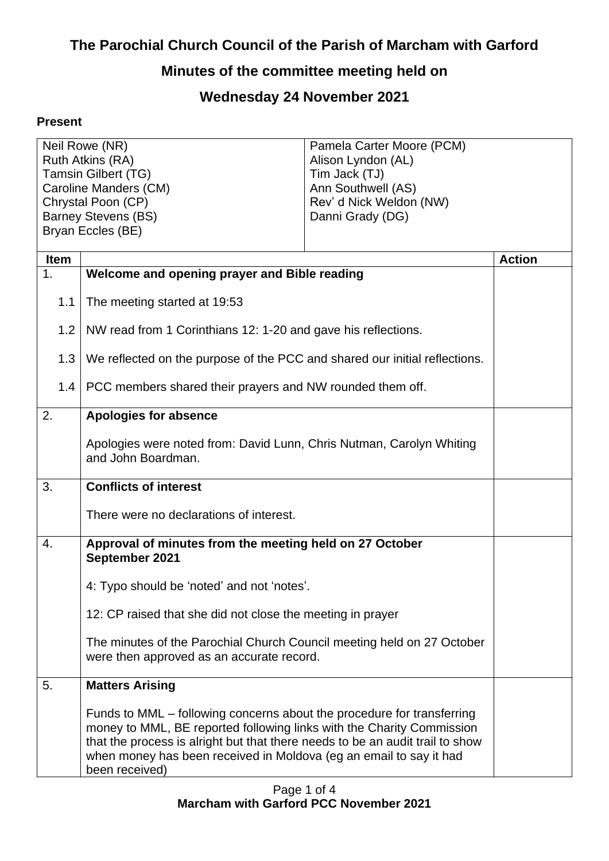## **The Parochial Church Council of the Parish of Marcham with Garford**

## **Minutes of the committee meeting held on**

## **Wednesday 24 November 2021**

## **Present**

| Neil Rowe (NR)                               |                                                                                                                                                                                                                                                                                                                          | Pamela Carter Moore (PCM)           |               |
|----------------------------------------------|--------------------------------------------------------------------------------------------------------------------------------------------------------------------------------------------------------------------------------------------------------------------------------------------------------------------------|-------------------------------------|---------------|
| Ruth Atkins (RA)                             |                                                                                                                                                                                                                                                                                                                          | Alison Lyndon (AL)                  |               |
| Tamsin Gilbert (TG)<br>Caroline Manders (CM) |                                                                                                                                                                                                                                                                                                                          | Tim Jack (TJ)<br>Ann Southwell (AS) |               |
| Chrystal Poon (CP)                           |                                                                                                                                                                                                                                                                                                                          | Rev' d Nick Weldon (NW)             |               |
| <b>Barney Stevens (BS)</b>                   |                                                                                                                                                                                                                                                                                                                          | Danni Grady (DG)                    |               |
| Bryan Eccles (BE)                            |                                                                                                                                                                                                                                                                                                                          |                                     |               |
|                                              |                                                                                                                                                                                                                                                                                                                          |                                     |               |
| <b>Item</b>                                  |                                                                                                                                                                                                                                                                                                                          |                                     | <b>Action</b> |
| 1.                                           | Welcome and opening prayer and Bible reading                                                                                                                                                                                                                                                                             |                                     |               |
| 1.1                                          | The meeting started at 19:53                                                                                                                                                                                                                                                                                             |                                     |               |
| 1.2                                          | NW read from 1 Corinthians 12: 1-20 and gave his reflections.                                                                                                                                                                                                                                                            |                                     |               |
| 1.3                                          | We reflected on the purpose of the PCC and shared our initial reflections.                                                                                                                                                                                                                                               |                                     |               |
| 1.4                                          | PCC members shared their prayers and NW rounded them off.                                                                                                                                                                                                                                                                |                                     |               |
| 2.                                           | <b>Apologies for absence</b>                                                                                                                                                                                                                                                                                             |                                     |               |
|                                              | Apologies were noted from: David Lunn, Chris Nutman, Carolyn Whiting<br>and John Boardman.                                                                                                                                                                                                                               |                                     |               |
| 3.                                           | <b>Conflicts of interest</b>                                                                                                                                                                                                                                                                                             |                                     |               |
|                                              | There were no declarations of interest.                                                                                                                                                                                                                                                                                  |                                     |               |
| 4.                                           | Approval of minutes from the meeting held on 27 October<br>September 2021                                                                                                                                                                                                                                                |                                     |               |
|                                              | 4: Typo should be 'noted' and not 'notes'.                                                                                                                                                                                                                                                                               |                                     |               |
|                                              | 12: CP raised that she did not close the meeting in prayer                                                                                                                                                                                                                                                               |                                     |               |
|                                              | The minutes of the Parochial Church Council meeting held on 27 October<br>were then approved as an accurate record.                                                                                                                                                                                                      |                                     |               |
| 5.                                           | <b>Matters Arising</b>                                                                                                                                                                                                                                                                                                   |                                     |               |
|                                              | Funds to MML – following concerns about the procedure for transferring<br>money to MML, BE reported following links with the Charity Commission<br>that the process is alright but that there needs to be an audit trail to show<br>when money has been received in Moldova (eg an email to say it had<br>been received) |                                     |               |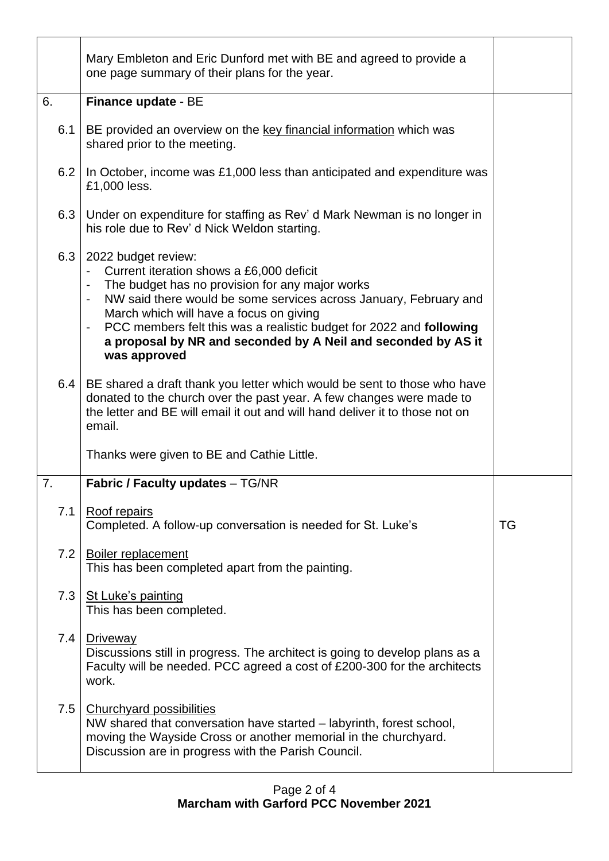|     | Mary Embleton and Eric Dunford met with BE and agreed to provide a<br>one page summary of their plans for the year.                                                                                                                                                                                                                                                                                                                          |    |
|-----|----------------------------------------------------------------------------------------------------------------------------------------------------------------------------------------------------------------------------------------------------------------------------------------------------------------------------------------------------------------------------------------------------------------------------------------------|----|
| 6.  | Finance update - BE                                                                                                                                                                                                                                                                                                                                                                                                                          |    |
| 6.1 | BE provided an overview on the key financial information which was<br>shared prior to the meeting.                                                                                                                                                                                                                                                                                                                                           |    |
| 6.2 | In October, income was £1,000 less than anticipated and expenditure was<br>£1,000 less.                                                                                                                                                                                                                                                                                                                                                      |    |
| 6.3 | Under on expenditure for staffing as Rev' d Mark Newman is no longer in<br>his role due to Rev' d Nick Weldon starting.                                                                                                                                                                                                                                                                                                                      |    |
| 6.3 | 2022 budget review:<br>Current iteration shows a £6,000 deficit<br>$\blacksquare$<br>The budget has no provision for any major works<br>NW said there would be some services across January, February and<br>$\qquad \qquad \blacksquare$<br>March which will have a focus on giving<br>PCC members felt this was a realistic budget for 2022 and following<br>a proposal by NR and seconded by A Neil and seconded by AS it<br>was approved |    |
| 6.4 | BE shared a draft thank you letter which would be sent to those who have<br>donated to the church over the past year. A few changes were made to<br>the letter and BE will email it out and will hand deliver it to those not on<br>email.                                                                                                                                                                                                   |    |
|     | Thanks were given to BE and Cathie Little.                                                                                                                                                                                                                                                                                                                                                                                                   |    |
| 7.  | <b>Fabric / Faculty updates - TG/NR</b>                                                                                                                                                                                                                                                                                                                                                                                                      |    |
| 7.1 | Roof repairs<br>Completed. A follow-up conversation is needed for St. Luke's                                                                                                                                                                                                                                                                                                                                                                 | TG |
| 7.2 | <b>Boiler replacement</b><br>This has been completed apart from the painting.                                                                                                                                                                                                                                                                                                                                                                |    |
| 7.3 | St Luke's painting<br>This has been completed.                                                                                                                                                                                                                                                                                                                                                                                               |    |
| 7.4 | Driveway<br>Discussions still in progress. The architect is going to develop plans as a<br>Faculty will be needed. PCC agreed a cost of £200-300 for the architects<br>work.                                                                                                                                                                                                                                                                 |    |
| 7.5 | <b>Churchyard possibilities</b><br>NW shared that conversation have started – labyrinth, forest school,<br>moving the Wayside Cross or another memorial in the churchyard.<br>Discussion are in progress with the Parish Council.                                                                                                                                                                                                            |    |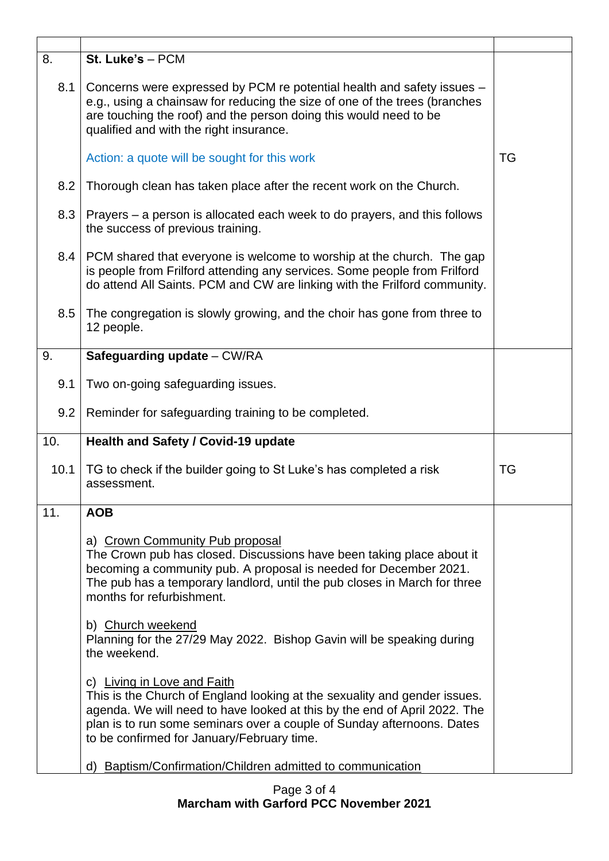| 8.   | St. Luke's - PCM                                                                                                                                                                                                                                                                                              |           |
|------|---------------------------------------------------------------------------------------------------------------------------------------------------------------------------------------------------------------------------------------------------------------------------------------------------------------|-----------|
| 8.1  | Concerns were expressed by PCM re potential health and safety issues -<br>e.g., using a chainsaw for reducing the size of one of the trees (branches<br>are touching the roof) and the person doing this would need to be<br>qualified and with the right insurance.                                          |           |
|      | Action: a quote will be sought for this work                                                                                                                                                                                                                                                                  | <b>TG</b> |
| 8.2  | Thorough clean has taken place after the recent work on the Church.                                                                                                                                                                                                                                           |           |
| 8.3  | Prayers – a person is allocated each week to do prayers, and this follows<br>the success of previous training.                                                                                                                                                                                                |           |
| 8.4  | PCM shared that everyone is welcome to worship at the church. The gap<br>is people from Frilford attending any services. Some people from Frilford<br>do attend All Saints. PCM and CW are linking with the Frilford community.                                                                               |           |
| 8.5  | The congregation is slowly growing, and the choir has gone from three to<br>12 people.                                                                                                                                                                                                                        |           |
| 9.   | Safeguarding update - CW/RA                                                                                                                                                                                                                                                                                   |           |
| 9.1  | Two on-going safeguarding issues.                                                                                                                                                                                                                                                                             |           |
| 9.2  | Reminder for safeguarding training to be completed.                                                                                                                                                                                                                                                           |           |
| 10.  | Health and Safety / Covid-19 update                                                                                                                                                                                                                                                                           |           |
| 10.1 | TG to check if the builder going to St Luke's has completed a risk<br>assessment.                                                                                                                                                                                                                             | <b>TG</b> |
| 11.  | <b>AOB</b>                                                                                                                                                                                                                                                                                                    |           |
|      | a) Crown Community Pub proposal<br>The Crown pub has closed. Discussions have been taking place about it<br>becoming a community pub. A proposal is needed for December 2021.<br>The pub has a temporary landlord, until the pub closes in March for three<br>months for refurbishment.                       |           |
|      | b) Church weekend<br>Planning for the 27/29 May 2022. Bishop Gavin will be speaking during<br>the weekend.                                                                                                                                                                                                    |           |
|      | c) Living in Love and Faith<br>This is the Church of England looking at the sexuality and gender issues.<br>agenda. We will need to have looked at this by the end of April 2022. The<br>plan is to run some seminars over a couple of Sunday afternoons. Dates<br>to be confirmed for January/February time. |           |
|      | d) Baptism/Confirmation/Children admitted to communication                                                                                                                                                                                                                                                    |           |